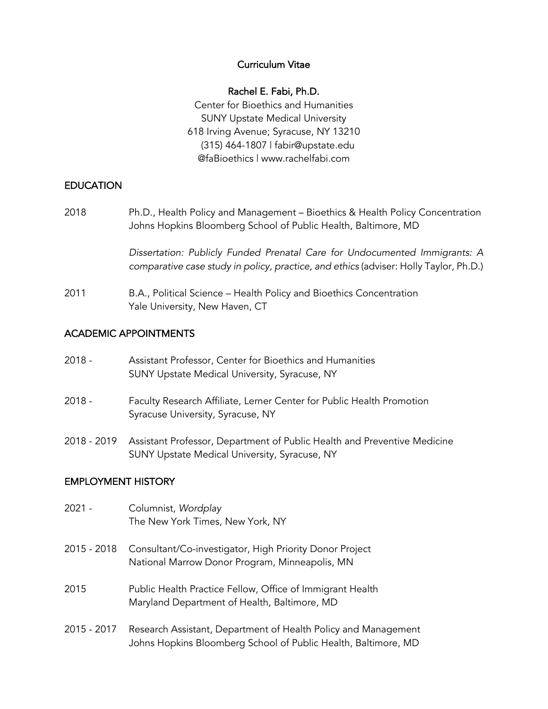### Curriculum Vitae

#### Rachel E. Fabi, Ph.D.

Center for Bioethics and Humanities SUNY Upstate Medical University 618 Irving Avenue; Syracuse, NY 13210 (315) 464-1807 | fabir@upstate.edu @faBioethics | www.rachelfabi.com

## EDUCATION

2018 Ph.D., Health Policy and Management – Bioethics & Health Policy Concentration Johns Hopkins Bloomberg School of Public Health, Baltimore, MD

> *Dissertation: Publicly Funded Prenatal Care for Undocumented Immigrants: A comparative case study in policy, practice, and ethics* (adviser: Holly Taylor, Ph.D.)

2011 B.A., Political Science – Health Policy and Bioethics Concentration Yale University, New Haven, CT

## ACADEMIC APPOINTMENTS

| $2018 -$ | Assistant Professor, Center for Bioethics and Humanities |
|----------|----------------------------------------------------------|
|          | SUNY Upstate Medical University, Syracuse, NY            |

- 2018 Faculty Research Affiliate, Lerner Center for Public Health Promotion Syracuse University, Syracuse, NY
- 2018 2019 Assistant Professor, Department of Public Health and Preventive Medicine SUNY Upstate Medical University, Syracuse, NY

## EMPLOYMENT HISTORY

- 2021 Columnist, *Wordplay* The New York Times, New York, NY
- 2015 2018 Consultant/Co-investigator, High Priority Donor Project National Marrow Donor Program, Minneapolis, MN
- 2015 Public Health Practice Fellow, Office of Immigrant Health Maryland Department of Health, Baltimore, MD
- 2015 2017 Research Assistant, Department of Health Policy and Management Johns Hopkins Bloomberg School of Public Health, Baltimore, MD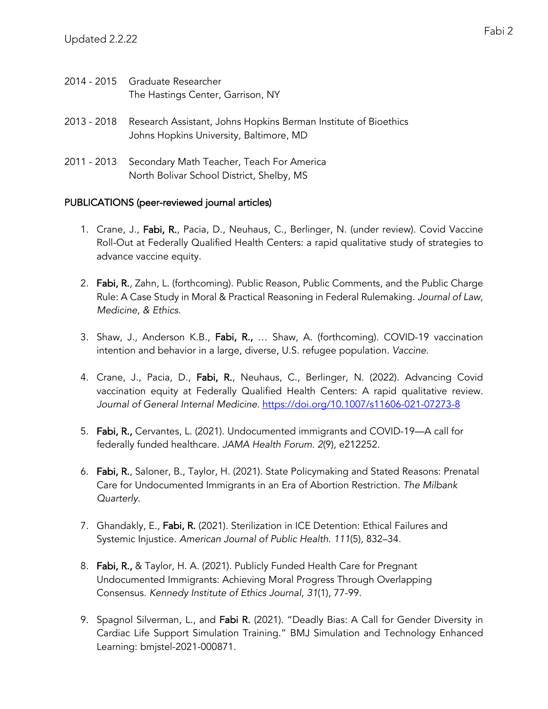- 2014 2015 Graduate Researcher The Hastings Center, Garrison, NY
- 2013 2018 Research Assistant, Johns Hopkins Berman Institute of Bioethics Johns Hopkins University, Baltimore, MD
- 2011 2013 Secondary Math Teacher, Teach For America North Bolivar School District, Shelby, MS

## PUBLICATIONS (peer-reviewed journal articles)

- 1. Crane, J., Fabi, R., Pacia, D., Neuhaus, C., Berlinger, N. (under review). Covid Vaccine Roll-Out at Federally Qualified Health Centers: a rapid qualitative study of strategies to advance vaccine equity.
- 2. Fabi, R., Zahn, L. (forthcoming). Public Reason, Public Comments, and the Public Charge Rule: A Case Study in Moral & Practical Reasoning in Federal Rulemaking. *Journal of Law, Medicine, & Ethics*.
- 3. Shaw, J., Anderson K.B., Fabi, R., … Shaw, A. (forthcoming). COVID-19 vaccination intention and behavior in a large, diverse, U.S. refugee population. *Vaccine*.
- 4. Crane, J., Pacia, D., Fabi, R., Neuhaus, C., Berlinger, N. (2022). Advancing Covid vaccination equity at Federally Qualified Health Centers: A rapid qualitative review. *Journal of General Internal Medicine*. https://doi.org/10.1007/s11606-021-07273-8
- 5. Fabi, R., Cervantes, L. (2021). Undocumented immigrants and COVID-19—A call for federally funded healthcare. *JAMA Health Forum*. *2*(9), e212252.
- 6. Fabi, R., Saloner, B., Taylor, H. (2021). State Policymaking and Stated Reasons: Prenatal Care for Undocumented Immigrants in an Era of Abortion Restriction. *The Milbank Quarterly*.
- 7. Ghandakly, E., Fabi, R. (2021). Sterilization in ICE Detention: Ethical Failures and Systemic Injustice. *American Journal of Public Health*. *111*(5), 832–34.
- 8. Fabi, R., & Taylor, H. A. (2021). Publicly Funded Health Care for Pregnant Undocumented Immigrants: Achieving Moral Progress Through Overlapping Consensus. *Kennedy Institute of Ethics Journal*, *31*(1), 77-99.
- 9. Spagnol Silverman, L., and Fabi R. (2021). "Deadly Bias: A Call for Gender Diversity in Cardiac Life Support Simulation Training." BMJ Simulation and Technology Enhanced Learning: bmjstel-2021-000871.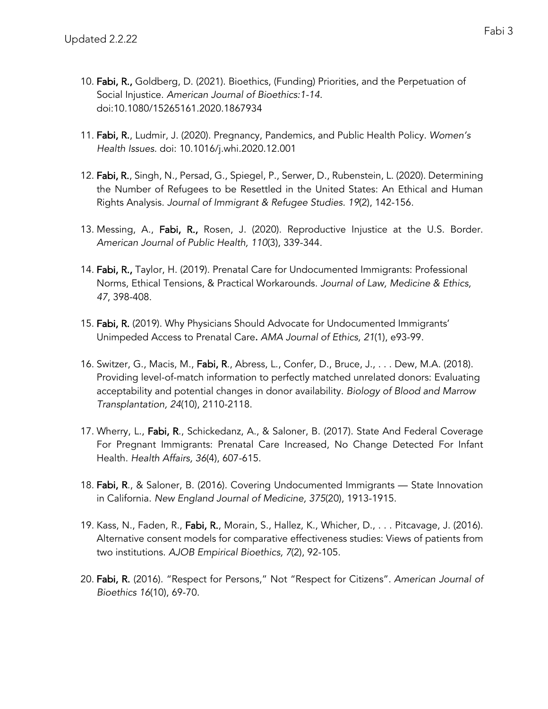- 10. Fabi, R., Goldberg, D. (2021). Bioethics, (Funding) Priorities, and the Perpetuation of Social Injustice. *American Journal of Bioethics:1-14.*  doi:10.1080/15265161.2020.1867934
- 11. Fabi, R., Ludmir, J. (2020). Pregnancy, Pandemics, and Public Health Policy. *Women's Health Issues*. doi: 10.1016/j.whi.2020.12.001
- 12. Fabi, R., Singh, N., Persad, G., Spiegel, P., Serwer, D., Rubenstein, L. (2020). Determining the Number of Refugees to be Resettled in the United States: An Ethical and Human Rights Analysis. *Journal of Immigrant & Refugee Studies. 19*(2), 142-156.
- 13. Messing, A., Fabi, R., Rosen, J. (2020). Reproductive Injustice at the U.S. Border. *American Journal of Public Health, 110*(3), 339-344.
- 14. Fabi, R., Taylor, H. (2019). Prenatal Care for Undocumented Immigrants: Professional Norms, Ethical Tensions, & Practical Workarounds. *Journal of Law, Medicine & Ethics, 47*, 398-408.
- 15. Fabi, R. (2019). Why Physicians Should Advocate for Undocumented Immigrants' Unimpeded Access to Prenatal Care. *AMA Journal of Ethics, 21*(1), e93-99.
- 16. Switzer, G., Macis, M., Fabi, R., Abress, L., Confer, D., Bruce, J., . . . Dew, M.A. (2018). Providing level-of-match information to perfectly matched unrelated donors: Evaluating acceptability and potential changes in donor availability. *Biology of Blood and Marrow Transplantation, 24*(10), 2110-2118.
- 17. Wherry, L., Fabi, R., Schickedanz, A., & Saloner, B. (2017). State And Federal Coverage For Pregnant Immigrants: Prenatal Care Increased, No Change Detected For Infant Health. *Health Affairs, 36*(4), 607-615.
- 18. Fabi, R., & Saloner, B. (2016). Covering Undocumented Immigrants State Innovation in California. *New England Journal of Medicine, 375*(20), 1913-1915.
- 19. Kass, N., Faden, R., Fabi, R., Morain, S., Hallez, K., Whicher, D., . . . Pitcavage, J. (2016). Alternative consent models for comparative effectiveness studies: Views of patients from two institutions. *AJOB Empirical Bioethics, 7*(2), 92-105.
- 20. Fabi, R. (2016). "Respect for Persons," Not "Respect for Citizens". *American Journal of Bioethics 16*(10), 69-70.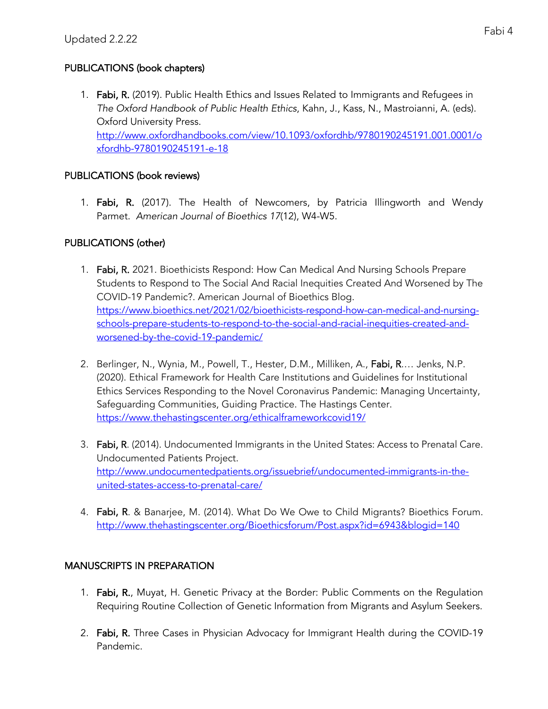# PUBLICATIONS (book chapters)

1. Fabi, R. (2019). Public Health Ethics and Issues Related to Immigrants and Refugees in *The Oxford Handbook of Public Health Ethics*, Kahn, J., Kass, N., Mastroianni, A. (eds). Oxford University Press. http://www.oxfordhandbooks.com/view/10.1093/oxfordhb/9780190245191.001.0001/o xfordhb-9780190245191-e-18

# PUBLICATIONS (book reviews)

1. Fabi, R. (2017). The Health of Newcomers, by Patricia Illingworth and Wendy Parmet. *American Journal of Bioethics 17*(12), W4-W5.

# PUBLICATIONS (other)

- 1. Fabi, R. 2021. Bioethicists Respond: How Can Medical And Nursing Schools Prepare Students to Respond to The Social And Racial Inequities Created And Worsened by The COVID-19 Pandemic?. American Journal of Bioethics Blog. https://www.bioethics.net/2021/02/bioethicists-respond-how-can-medical-and-nursingschools-prepare-students-to-respond-to-the-social-and-racial-inequities-created-andworsened-by-the-covid-19-pandemic/
- 2. Berlinger, N., Wynia, M., Powell, T., Hester, D.M., Milliken, A., Fabi, R.... Jenks, N.P. (2020). Ethical Framework for Health Care Institutions and Guidelines for Institutional Ethics Services Responding to the Novel Coronavirus Pandemic: Managing Uncertainty, Safeguarding Communities, Guiding Practice. The Hastings Center. https://www.thehastingscenter.org/ethicalframeworkcovid19/
- 3. Fabi, R. (2014). Undocumented Immigrants in the United States: Access to Prenatal Care. Undocumented Patients Project. http://www.undocumentedpatients.org/issuebrief/undocumented-immigrants-in-theunited-states-access-to-prenatal-care/
- 4. Fabi, R. & Banarjee, M. (2014). What Do We Owe to Child Migrants? Bioethics Forum. http://www.thehastingscenter.org/Bioethicsforum/Post.aspx?id=6943&blogid=140

# MANUSCRIPTS IN PREPARATION

- 1. Fabi, R., Muyat, H. Genetic Privacy at the Border: Public Comments on the Regulation Requiring Routine Collection of Genetic Information from Migrants and Asylum Seekers.
- 2. Fabi, R. Three Cases in Physician Advocacy for Immigrant Health during the COVID-19 Pandemic.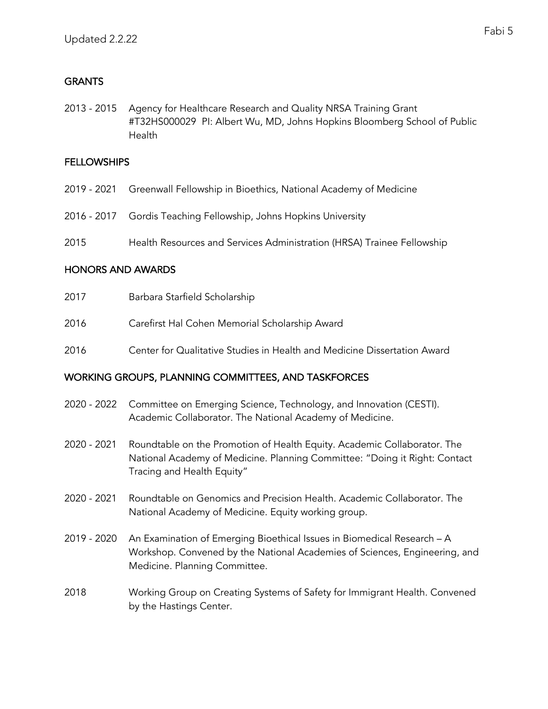# **GRANTS**

2013 - 2015 Agency for Healthcare Research and Quality NRSA Training Grant #T32HS000029 PI: Albert Wu, MD, Johns Hopkins Bloomberg School of Public Health

## **FELLOWSHIPS**

- 2019 2021 Greenwall Fellowship in Bioethics, National Academy of Medicine
- 2016 2017 Gordis Teaching Fellowship, Johns Hopkins University
- 2015 Health Resources and Services Administration (HRSA) Trainee Fellowship

## HONORS AND AWARDS

| 2017 | Barbara Starfield Scholarship                                            |
|------|--------------------------------------------------------------------------|
| 2016 | Carefirst Hal Cohen Memorial Scholarship Award                           |
| 2016 | Center for Qualitative Studies in Health and Medicine Dissertation Award |

## WORKING GROUPS, PLANNING COMMITTEES, AND TASKFORCES

- 2020 2022 Committee on Emerging Science, Technology, and Innovation (CESTI). Academic Collaborator. The National Academy of Medicine.
- 2020 2021 Roundtable on the Promotion of Health Equity. Academic Collaborator. The National Academy of Medicine. Planning Committee: "Doing it Right: Contact Tracing and Health Equity"
- 2020 2021 Roundtable on Genomics and Precision Health. Academic Collaborator. The National Academy of Medicine. Equity working group.
- 2019 2020 An Examination of Emerging Bioethical Issues in Biomedical Research A Workshop. Convened by the National Academies of Sciences, Engineering, and Medicine. Planning Committee.
- 2018 Working Group on Creating Systems of Safety for Immigrant Health. Convened by the Hastings Center.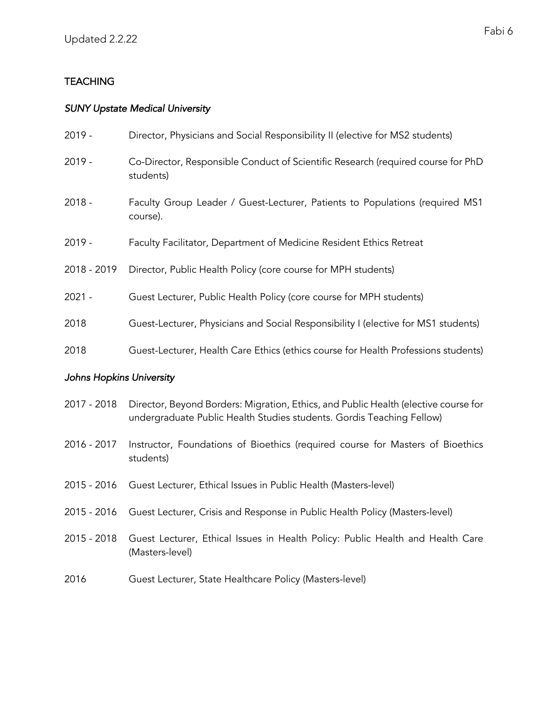# **TEACHING**

## *SUNY Upstate Medical University*

| $2019 -$    | Director, Physicians and Social Responsibility II (elective for MS2 students)                 |
|-------------|-----------------------------------------------------------------------------------------------|
| $2019 -$    | Co-Director, Responsible Conduct of Scientific Research (required course for PhD<br>students) |
| $2018 -$    | Faculty Group Leader / Guest-Lecturer, Patients to Populations (required MS1)<br>course).     |
| $2019 -$    | Faculty Facilitator, Department of Medicine Resident Ethics Retreat                           |
| 2018 - 2019 | Director, Public Health Policy (core course for MPH students)                                 |
| $2021 -$    | Guest Lecturer, Public Health Policy (core course for MPH students)                           |
| 2018        | Guest-Lecturer, Physicians and Social Responsibility I (elective for MS1 students)            |
| 2018        | Guest-Lecturer, Health Care Ethics (ethics course for Health Professions students)            |

## *Johns Hopkins University*

| 2017 - 2018 Director, Beyond Borders: Migration, Ethics, and Public Health (elective course for |
|-------------------------------------------------------------------------------------------------|
| undergraduate Public Health Studies students. Gordis Teaching Fellow)                           |

- 2016 2017 Instructor, Foundations of Bioethics (required course for Masters of Bioethics students)
- 2015 2016 Guest Lecturer, Ethical Issues in Public Health (Masters-level)
- 2015 2016 Guest Lecturer, Crisis and Response in Public Health Policy (Masters-level)
- 2015 2018 Guest Lecturer, Ethical Issues in Health Policy: Public Health and Health Care (Masters-level)
- 2016 Guest Lecturer, State Healthcare Policy (Masters-level)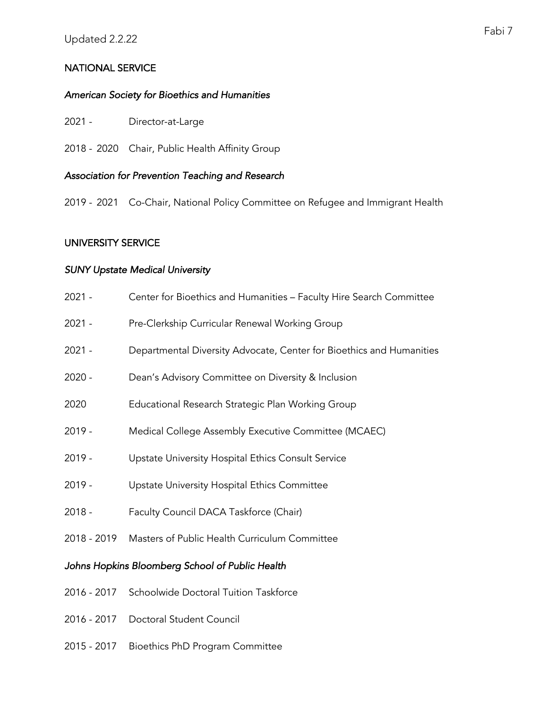## NATIONAL SERVICE

## *American Society for Bioethics and Humanities*

- 2021 Director-at-Large
- 2018 2020 Chair, Public Health Affinity Group

## *Association for Prevention Teaching and Research*

2019 - 2021 Co-Chair, National Policy Committee on Refugee and Immigrant Health

## UNIVERSITY SERVICE

## *SUNY Upstate Medical University*

- 2021 Center for Bioethics and Humanities Faculty Hire Search Committee
- 2021 Pre-Clerkship Curricular Renewal Working Group
- 2021 Departmental Diversity Advocate, Center for Bioethics and Humanities
- 2020 Dean's Advisory Committee on Diversity & Inclusion
- 2020 Educational Research Strategic Plan Working Group
- 2019 Medical College Assembly Executive Committee (MCAEC)
- 2019 Upstate University Hospital Ethics Consult Service
- 2019 Upstate University Hospital Ethics Committee
- 2018 Faculty Council DACA Taskforce (Chair)
- 2018 2019 Masters of Public Health Curriculum Committee

## *Johns Hopkins Bloomberg School of Public Health*

- 2016 2017 Schoolwide Doctoral Tuition Taskforce
- 2016 2017 Doctoral Student Council
- 2015 2017 Bioethics PhD Program Committee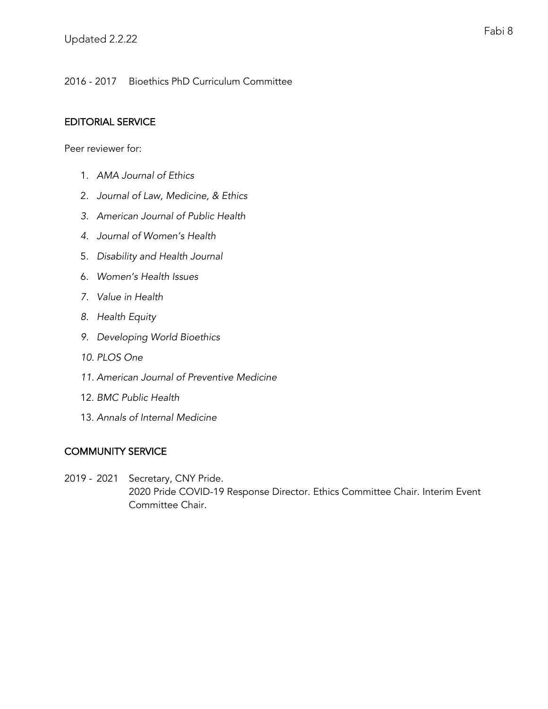2016 - 2017 Bioethics PhD Curriculum Committee

## EDITORIAL SERVICE

Peer reviewer for:

- 1. *AMA Journal of Ethics*
- 2. *Journal of Law, Medicine, & Ethics*
- *3. American Journal of Public Health*
- *4. Journal of Women's Health*
- 5. *Disability and Health Journal*
- 6. *Women's Health Issues*
- *7. Value in Health*
- *8. Health Equity*
- *9. Developing World Bioethics*
- *10. PLOS One*
- *11. American Journal of Preventive Medicine*
- 12. *BMC Public Health*
- 13. *Annals of Internal Medicine*

## COMMUNITY SERVICE

2019 - 2021 Secretary, CNY Pride. 2020 Pride COVID-19 Response Director. Ethics Committee Chair. Interim Event Committee Chair.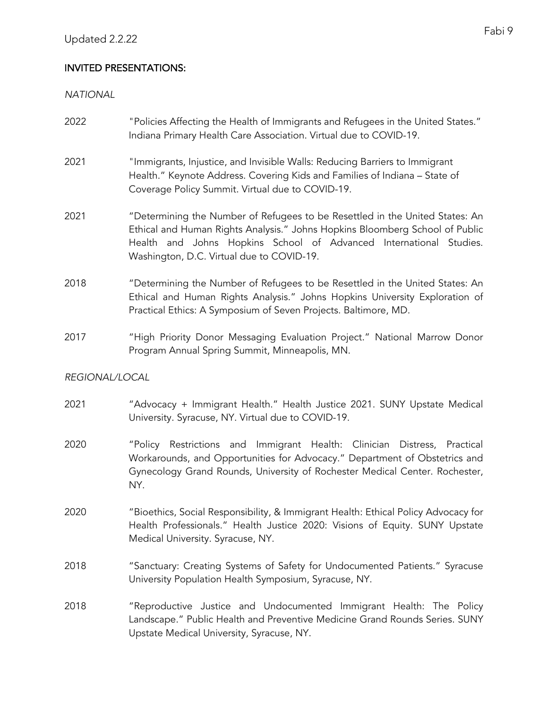# INVITED PRESENTATIONS:

*NATIONAL*

- 2022 "Policies Affecting the Health of Immigrants and Refugees in the United States." Indiana Primary Health Care Association. Virtual due to COVID-19.
- 2021 "Immigrants, Injustice, and Invisible Walls: Reducing Barriers to Immigrant Health." Keynote Address. Covering Kids and Families of Indiana – State of Coverage Policy Summit. Virtual due to COVID-19.
- 2021 "Determining the Number of Refugees to be Resettled in the United States: An Ethical and Human Rights Analysis." Johns Hopkins Bloomberg School of Public Health and Johns Hopkins School of Advanced International Studies. Washington, D.C. Virtual due to COVID-19.
- 2018 "Determining the Number of Refugees to be Resettled in the United States: An Ethical and Human Rights Analysis." Johns Hopkins University Exploration of Practical Ethics: A Symposium of Seven Projects. Baltimore, MD.
- 2017 "High Priority Donor Messaging Evaluation Project." National Marrow Donor Program Annual Spring Summit, Minneapolis, MN.

## *REGIONAL/LOCAL*

- 2021 "Advocacy + Immigrant Health." Health Justice 2021. SUNY Upstate Medical University. Syracuse, NY. Virtual due to COVID-19.
- 2020 "Policy Restrictions and Immigrant Health: Clinician Distress, Practical Workarounds, and Opportunities for Advocacy." Department of Obstetrics and Gynecology Grand Rounds, University of Rochester Medical Center. Rochester, NY.
- 2020 "Bioethics, Social Responsibility, & Immigrant Health: Ethical Policy Advocacy for Health Professionals." Health Justice 2020: Visions of Equity. SUNY Upstate Medical University. Syracuse, NY.
- 2018 "Sanctuary: Creating Systems of Safety for Undocumented Patients." Syracuse University Population Health Symposium, Syracuse, NY.
- 2018 "Reproductive Justice and Undocumented Immigrant Health: The Policy Landscape." Public Health and Preventive Medicine Grand Rounds Series. SUNY Upstate Medical University, Syracuse, NY.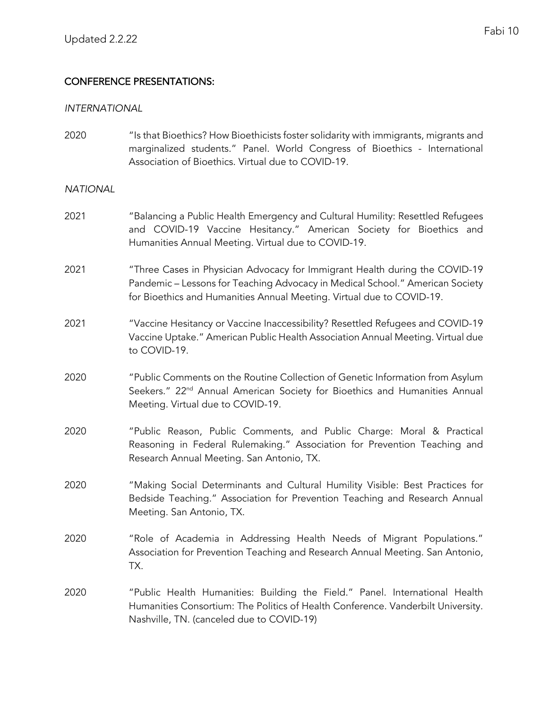## CONFERENCE PRESENTATIONS:

#### *INTERNATIONAL*

2020 "Is that Bioethics? How Bioethicists foster solidarity with immigrants, migrants and marginalized students." Panel. World Congress of Bioethics - International Association of Bioethics. Virtual due to COVID-19.

## *NATIONAL*

- 2021 "Balancing a Public Health Emergency and Cultural Humility: Resettled Refugees and COVID-19 Vaccine Hesitancy." American Society for Bioethics and Humanities Annual Meeting. Virtual due to COVID-19.
- 2021 "Three Cases in Physician Advocacy for Immigrant Health during the COVID-19 Pandemic – Lessons for Teaching Advocacy in Medical School." American Society for Bioethics and Humanities Annual Meeting. Virtual due to COVID-19.
- 2021 "Vaccine Hesitancy or Vaccine Inaccessibility? Resettled Refugees and COVID-19 Vaccine Uptake." American Public Health Association Annual Meeting. Virtual due to COVID-19.
- 2020 "Public Comments on the Routine Collection of Genetic Information from Asylum Seekers." 22<sup>nd</sup> Annual American Society for Bioethics and Humanities Annual Meeting. Virtual due to COVID-19.
- 2020 "Public Reason, Public Comments, and Public Charge: Moral & Practical Reasoning in Federal Rulemaking." Association for Prevention Teaching and Research Annual Meeting. San Antonio, TX.
- 2020 "Making Social Determinants and Cultural Humility Visible: Best Practices for Bedside Teaching." Association for Prevention Teaching and Research Annual Meeting. San Antonio, TX.
- 2020 "Role of Academia in Addressing Health Needs of Migrant Populations." Association for Prevention Teaching and Research Annual Meeting. San Antonio, TX.
- 2020 "Public Health Humanities: Building the Field." Panel. International Health Humanities Consortium: The Politics of Health Conference. Vanderbilt University. Nashville, TN. (canceled due to COVID-19)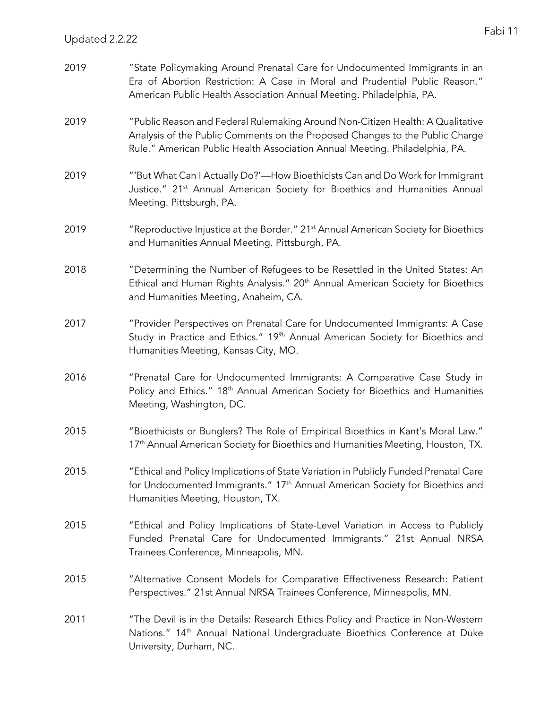| 2019 | "State Policymaking Around Prenatal Care for Undocumented Immigrants in an<br>Era of Abortion Restriction: A Case in Moral and Prudential Public Reason."<br>American Public Health Association Annual Meeting. Philadelphia, PA.             |
|------|-----------------------------------------------------------------------------------------------------------------------------------------------------------------------------------------------------------------------------------------------|
| 2019 | "Public Reason and Federal Rulemaking Around Non-Citizen Health: A Qualitative<br>Analysis of the Public Comments on the Proposed Changes to the Public Charge<br>Rule." American Public Health Association Annual Meeting. Philadelphia, PA. |
| 2019 | "'But What Can I Actually Do?'—How Bioethicists Can and Do Work for Immigrant<br>Justice." 21 <sup>st</sup> Annual American Society for Bioethics and Humanities Annual<br>Meeting. Pittsburgh, PA.                                           |
| 2019 | "Reproductive Injustice at the Border." 21 <sup>st</sup> Annual American Society for Bioethics<br>and Humanities Annual Meeting. Pittsburgh, PA.                                                                                              |
| 2018 | "Determining the Number of Refugees to be Resettled in the United States: An<br>Ethical and Human Rights Analysis." 20 <sup>th</sup> Annual American Society for Bioethics<br>and Humanities Meeting, Anaheim, CA.                            |
| 2017 | "Provider Perspectives on Prenatal Care for Undocumented Immigrants: A Case<br>Study in Practice and Ethics." 19 <sup>9h</sup> Annual American Society for Bioethics and<br>Humanities Meeting, Kansas City, MO.                              |
| 2016 | "Prenatal Care for Undocumented Immigrants: A Comparative Case Study in<br>Policy and Ethics." 18th Annual American Society for Bioethics and Humanities<br>Meeting, Washington, DC.                                                          |
| 2015 | "Bioethicists or Bunglers? The Role of Empirical Bioethics in Kant's Moral Law."<br>17 <sup>th</sup> Annual American Society for Bioethics and Humanities Meeting, Houston, TX.                                                               |
| 2015 | "Ethical and Policy Implications of State Variation in Publicly Funded Prenatal Care<br>for Undocumented Immigrants." 17 <sup>th</sup> Annual American Society for Bioethics and<br>Humanities Meeting, Houston, TX.                          |
| 2015 | "Ethical and Policy Implications of State-Level Variation in Access to Publicly<br>Funded Prenatal Care for Undocumented Immigrants." 21st Annual NRSA<br>Trainees Conference, Minneapolis, MN.                                               |
| 2015 | "Alternative Consent Models for Comparative Effectiveness Research: Patient<br>Perspectives." 21st Annual NRSA Trainees Conference, Minneapolis, MN.                                                                                          |
| 2011 | "The Devil is in the Details: Research Ethics Policy and Practice in Non-Western<br>Nations." 14 <sup>th</sup> Annual National Undergraduate Bioethics Conference at Duke<br>University, Durham, NC.                                          |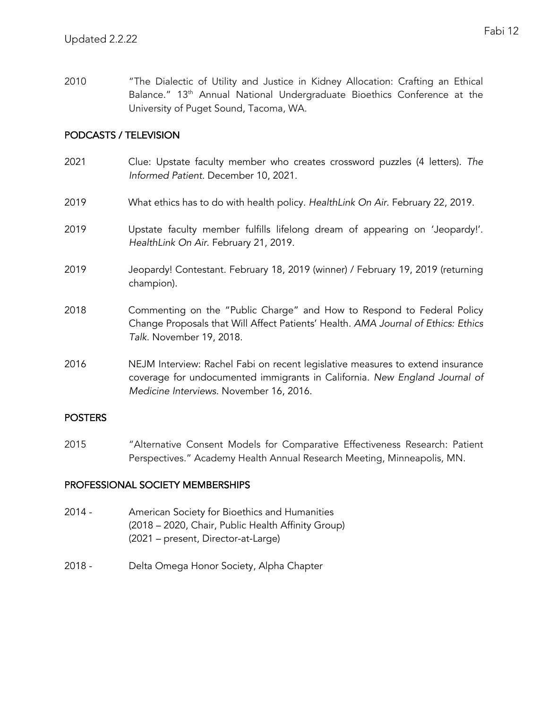2010 "The Dialectic of Utility and Justice in Kidney Allocation: Crafting an Ethical Balance." 13<sup>th</sup> Annual National Undergraduate Bioethics Conference at the University of Puget Sound, Tacoma, WA.

## PODCASTS / TELEVISION

- 2021 Clue: Upstate faculty member who creates crossword puzzles (4 letters). *The Informed Patient*. December 10, 2021.
- 2019 What ethics has to do with health policy. *HealthLink On Air*. February 22, 2019.
- 2019 Upstate faculty member fulfills lifelong dream of appearing on 'Jeopardy!'. *HealthLink On Air*. February 21, 2019.
- 2019 Jeopardy! Contestant. February 18, 2019 (winner) / February 19, 2019 (returning champion).
- 2018 Commenting on the "Public Charge" and How to Respond to Federal Policy Change Proposals that Will Affect Patients' Health. *AMA Journal of Ethics: Ethics Talk*. November 19, 2018.
- 2016 NEJM Interview: Rachel Fabi on recent legislative measures to extend insurance coverage for undocumented immigrants in California. *New England Journal of Medicine Interviews*. November 16, 2016.

## POSTERS

2015 "Alternative Consent Models for Comparative Effectiveness Research: Patient Perspectives." Academy Health Annual Research Meeting, Minneapolis, MN.

## PROFESSIONAL SOCIETY MEMBERSHIPS

- 2014 American Society for Bioethics and Humanities (2018 – 2020, Chair, Public Health Affinity Group) (2021 – present, Director-at-Large)
- 2018 Delta Omega Honor Society, Alpha Chapter